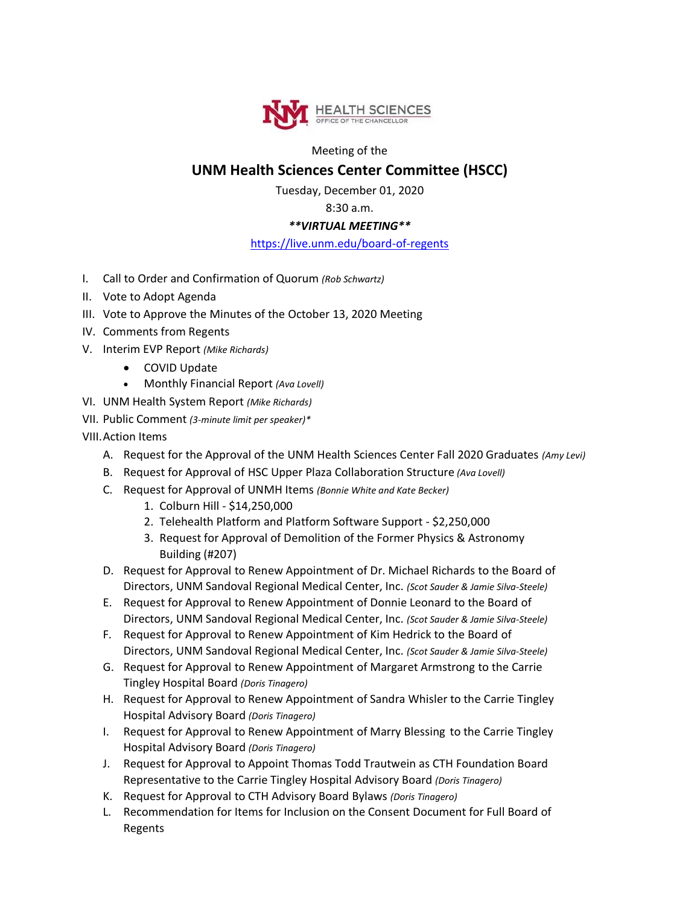

Meeting of the

## **UNM Health Sciences Center Committee (HSCC)**

Tuesday, December 01, 2020

8:30 a.m.

## *\*\*VIRTUAL MEETING\*\**

## <https://live.unm.edu/board-of-regents>

- I. Call to Order and Confirmation of Quorum *(Rob Schwartz)*
- II. Vote to Adopt Agenda
- III. Vote to Approve the Minutes of the October 13, 2020 Meeting
- IV. Comments from Regents
- V. Interim EVP Report *(Mike Richards)*
	- COVID Update
	- Monthly Financial Report *(Ava Lovell)*
- VI. UNM Health System Report *(Mike Richards)*
- VII. Public Comment *(3-minute limit per speaker)\**
- VIII.Action Items
	- A. Request for the Approval of the UNM Health Sciences Center Fall 2020 Graduates *(Amy Levi)*
	- B. Request for Approval of HSC Upper Plaza Collaboration Structure *(Ava Lovell)*
	- C. Request for Approval of UNMH Items *(Bonnie White and Kate Becker)*
		- 1. Colburn Hill \$14,250,000
		- 2. Telehealth Platform and Platform Software Support \$2,250,000
		- 3. Request for Approval of Demolition of the Former Physics & Astronomy Building (#207)
	- D. Request for Approval to Renew Appointment of Dr. Michael Richards to the Board of Directors, UNM Sandoval Regional Medical Center, Inc. *(Scot Sauder & Jamie Silva-Steele)*
	- E. Request for Approval to Renew Appointment of Donnie Leonard to the Board of Directors, UNM Sandoval Regional Medical Center, Inc. *(Scot Sauder & Jamie Silva-Steele)*
	- F. Request for Approval to Renew Appointment of Kim Hedrick to the Board of Directors, UNM Sandoval Regional Medical Center, Inc. *(Scot Sauder & Jamie Silva-Steele)*
	- G. Request for Approval to Renew Appointment of Margaret Armstrong to the Carrie Tingley Hospital Board *(Doris Tinagero)*
	- H. Request for Approval to Renew Appointment of Sandra Whisler to the Carrie Tingley Hospital Advisory Board *(Doris Tinagero)*
	- I. Request for Approval to Renew Appointment of Marry Blessing to the Carrie Tingley Hospital Advisory Board *(Doris Tinagero)*
	- J. Request for Approval to Appoint Thomas Todd Trautwein as CTH Foundation Board Representative to the Carrie Tingley Hospital Advisory Board *(Doris Tinagero)*
	- K. Request for Approval to CTH Advisory Board Bylaws *(Doris Tinagero)*
	- L. Recommendation for Items for Inclusion on the Consent Document for Full Board of Regents